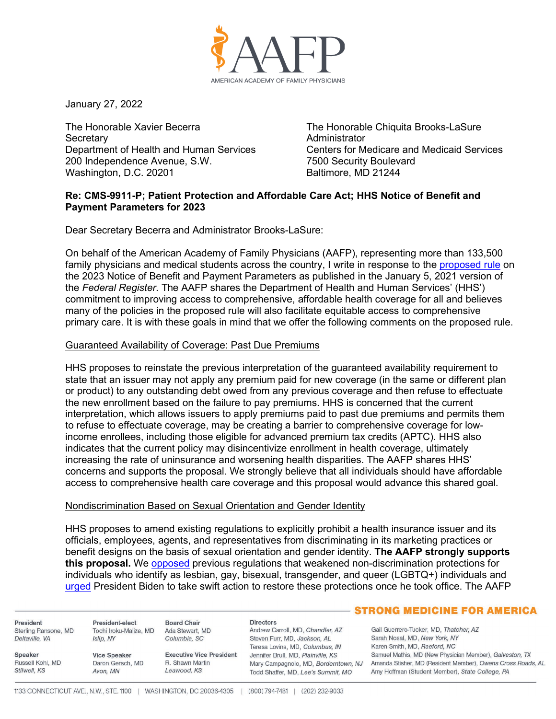

January 27, 2022

The Honorable Xavier Becerra **Secretary** Department of Health and Human Services 200 Independence Avenue, S.W. Washington, D.C. 20201

The Honorable Chiquita Brooks-LaSure **Administrator** Centers for Medicare and Medicaid Services 7500 Security Boulevard Baltimore, MD 21244

### **Re: CMS-9911-P; Patient Protection and Affordable Care Act; HHS Notice of Benefit and Payment Parameters for 2023**

Dear Secretary Becerra and Administrator Brooks-LaSure:

On behalf of the American Academy of Family Physicians (AAFP), representing more than 133,500 family physicians and medical students across the country, I write in response to the [proposed rule](https://www.federalregister.gov/documents/2022/01/05/2021-28317/patient-protection-and-affordable-care-act-hhs-notice-of-benefit-and-payment-parameters-for-2023) on the 2023 Notice of Benefit and Payment Parameters as published in the January 5, 2021 version of the *Federal Register*. The AAFP shares the Department of Health and Human Services' (HHS') commitment to improving access to comprehensive, affordable health coverage for all and believes many of the policies in the proposed rule will also facilitate equitable access to comprehensive primary care. It is with these goals in mind that we offer the following comments on the proposed rule.

#### Guaranteed Availability of Coverage: Past Due Premiums

HHS proposes to reinstate the previous interpretation of the guaranteed availability requirement to state that an issuer may not apply any premium paid for new coverage (in the same or different plan or product) to any outstanding debt owed from any previous coverage and then refuse to effectuate the new enrollment based on the failure to pay premiums. HHS is concerned that the current interpretation, which allows issuers to apply premiums paid to past due premiums and permits them to refuse to effectuate coverage, may be creating a barrier to comprehensive coverage for lowincome enrollees, including those eligible for advanced premium tax credits (APTC). HHS also indicates that the current policy may disincentivize enrollment in health coverage, ultimately increasing the rate of uninsurance and worsening health disparities. The AAFP shares HHS' concerns and supports the proposal. We strongly believe that all individuals should have affordable access to comprehensive health care coverage and this proposal would advance this shared goal.

#### Nondiscrimination Based on Sexual Orientation and Gender Identity

HHS proposes to amend existing regulations to explicitly prohibit a health insurance issuer and its officials, employees, agents, and representatives from discriminating in its marketing practices or benefit designs on the basis of sexual orientation and gender identity. **The AAFP strongly supports this proposal.** We [opposed](https://www.aafp.org/dam/AAFP/documents/advocacy/coverage/aca/LT-HHS-1557-080719.pdf) previous regulations that weakened non-discrimination protections for individuals who identify as lesbian, gay, bisexual, transgender, and queer (LGBTQ+) individuals and [urged](https://www.aafp.org/dam/AAFP/documents/advocacy/administration/LT-WhiteHouse-HealthCareForAllRegulatoryRecommendations-012221.pdf) President Biden to take swift action to restore these protections once he took office. The AAFP

President Sterling Ransone, MD Deltaville, VA

Russell Kohl MD

Speaker

Stilwell, KS

Tochi Iroku-Malize, MD Islip, NY

President-elect

**Vice Speaker** Daron Gersch, MD Avon, MN

**Executive Vice President** R Shawn Martin Leawood, KS

**Directors** Andrew Carroll, MD, Chandler, AZ Steven Furr, MD, Jackson, AL Teresa Lovins, MD, Columbus, IN Jennifer Brull, MD, Plainville, KS Todd Shaffer, MD, Lee's Summit, MO

#### **STRONG MEDICINE FOR AMERICA**

Gail Guerrero-Tucker, MD, Thatcher, AZ Sarah Nosal, MD, New York, NY Karen Smith, MD, Raeford, NC Samuel Mathis, MD (New Physician Member), Galveston, TX Mary Campagnolo, MD, Borderntown, NJ Amanda Stisher, MD (Resident Member), Owens Cross Roads, AL Amy Hoffman (Student Member), State College, PA

**Board Chair** 

Ada Stewart, MD

Columbia, SC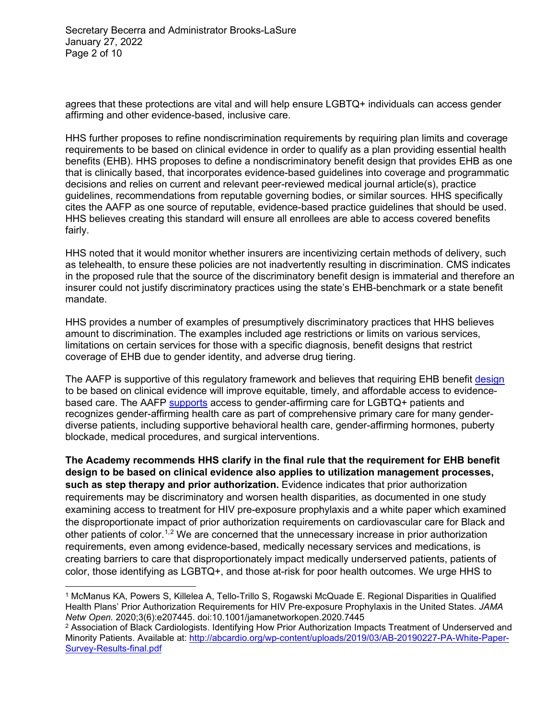agrees that these protections are vital and will help ensure LGBTQ+ individuals can access gender affirming and other evidence-based, inclusive care.

HHS further proposes to refine nondiscrimination requirements by requiring plan limits and coverage requirements to be based on clinical evidence in order to qualify as a plan providing essential health benefits (EHB). HHS proposes to define a nondiscriminatory benefit design that provides EHB as one that is clinically based, that incorporates evidence-based guidelines into coverage and programmatic decisions and relies on current and relevant peer-reviewed medical journal article(s), practice guidelines, recommendations from reputable governing bodies, or similar sources. HHS specifically cites the AAFP as one source of reputable, evidence-based practice guidelines that should be used. HHS believes creating this standard will ensure all enrollees are able to access covered benefits fairly.

HHS noted that it would monitor whether insurers are incentivizing certain methods of delivery, such as telehealth, to ensure these policies are not inadvertently resulting in discrimination. CMS indicates in the proposed rule that the source of the discriminatory benefit design is immaterial and therefore an insurer could not justify discriminatory practices using the state's EHB-benchmark or a state benefit mandate.

HHS provides a number of examples of presumptively discriminatory practices that HHS believes amount to discrimination. The examples included age restrictions or limits on various services, limitations on certain services for those with a specific diagnosis, benefit designs that restrict coverage of EHB due to gender identity, and adverse drug tiering.

The AAFP is supportive of this regulatory framework and believes that requiring EHB benefit [design](https://healthpayerintelligence.com/news/prior-authorizations-discriminate-against-hiv-patients-in-the-south) to be based on clinical evidence will improve equitable, timely, and affordable access to evidencebased care. The AAFP [supports](https://www.aafp.org/about/policies/all/transgender-nonbinary.html) access to gender-affirming care for LGBTQ+ patients and recognizes gender-affirming health care as part of comprehensive primary care for many genderdiverse patients, including supportive behavioral health care, gender-affirming hormones, puberty blockade, medical procedures, and surgical interventions.

**The Academy recommends HHS clarify in the final rule that the requirement for EHB benefit design to be based on clinical evidence also applies to utilization management processes, such as step therapy and prior authorization.** Evidence indicates that prior authorization requirements may be discriminatory and worsen health disparities, as documented in one study examining access to treatment for HIV pre-exposure prophylaxis and a white paper which examined the disproportionate impact of prior authorization requirements on cardiovascular care for Black and other patients of color.<sup>[1](#page-1-0),[2](#page-1-1)</sup> We are concerned that the unnecessary increase in prior authorization requirements, even among evidence-based, medically necessary services and medications, is creating barriers to care that disproportionately impact medically underserved patients, patients of color, those identifying as LGBTQ+, and those at-risk for poor health outcomes. We urge HHS to

<span id="page-1-0"></span><sup>1</sup> McManus KA, Powers S, Killelea A, Tello-Trillo S, Rogawski McQuade E. Regional Disparities in Qualified Health Plans' Prior Authorization Requirements for HIV Pre-exposure Prophylaxis in the United States. *JAMA Netw Open.* 2020;3(6):e207445. doi:10.1001/jamanetworkopen.2020.7445

<span id="page-1-1"></span><sup>2</sup> Association of Black Cardiologists. Identifying How Prior Authorization Impacts Treatment of Underserved and Minority Patients. Available at: [http://abcardio.org/wp-content/uploads/2019/03/AB-20190227-PA-White-Paper-](http://abcardio.org/wp-content/uploads/2019/03/AB-20190227-PA-White-Paper-Survey-Results-final.pdf)[Survey-Results-final.pdf](http://abcardio.org/wp-content/uploads/2019/03/AB-20190227-PA-White-Paper-Survey-Results-final.pdf)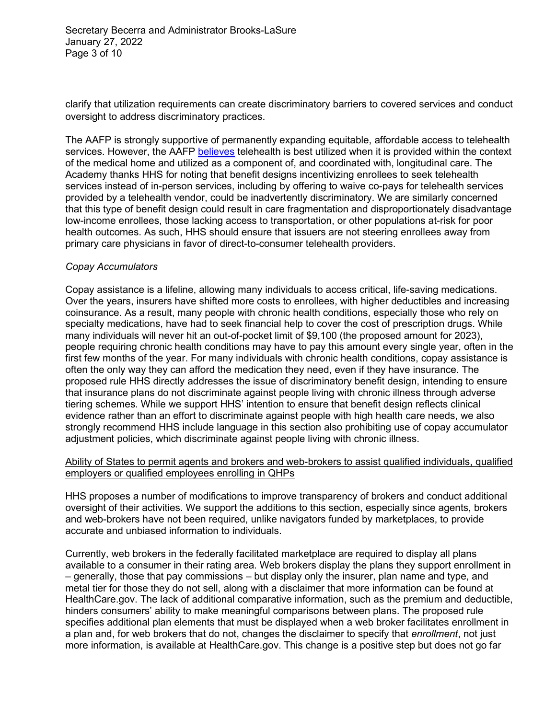Secretary Becerra and Administrator Brooks-LaSure January 27, 2022 Page 3 of 10

clarify that utilization requirements can create discriminatory barriers to covered services and conduct oversight to address discriminatory practices.

The AAFP is strongly supportive of permanently expanding equitable, affordable access to telehealth services. However, the AAFP [believes](https://www.aafp.org/about/policies/all/telehealth-telemedicine.html) telehealth is best utilized when it is provided within the context of the medical home and utilized as a component of, and coordinated with, longitudinal care. The Academy thanks HHS for noting that benefit designs incentivizing enrollees to seek telehealth services instead of in-person services, including by offering to waive co-pays for telehealth services provided by a telehealth vendor, could be inadvertently discriminatory. We are similarly concerned that this type of benefit design could result in care fragmentation and disproportionately disadvantage low-income enrollees, those lacking access to transportation, or other populations at-risk for poor health outcomes. As such, HHS should ensure that issuers are not steering enrollees away from primary care physicians in favor of direct-to-consumer telehealth providers.

#### *Copay Accumulators*

Copay assistance is a lifeline, allowing many individuals to access critical, life-saving medications. Over the years, insurers have shifted more costs to enrollees, with higher deductibles and increasing coinsurance. As a result, many people with chronic health conditions, especially those who rely on specialty medications, have had to seek financial help to cover the cost of prescription drugs. While many individuals will never hit an out-of-pocket limit of \$9,100 (the proposed amount for 2023), people requiring chronic health conditions may have to pay this amount every single year, often in the first few months of the year. For many individuals with chronic health conditions, copay assistance is often the only way they can afford the medication they need, even if they have insurance. The proposed rule HHS directly addresses the issue of discriminatory benefit design, intending to ensure that insurance plans do not discriminate against people living with chronic illness through adverse tiering schemes. While we support HHS' intention to ensure that benefit design reflects clinical evidence rather than an effort to discriminate against people with high health care needs, we also strongly recommend HHS include language in this section also prohibiting use of copay accumulator adjustment policies, which discriminate against people living with chronic illness.

#### Ability of States to permit agents and brokers and web-brokers to assist qualified individuals, qualified employers or qualified employees enrolling in QHPs

HHS proposes a number of modifications to improve transparency of brokers and conduct additional oversight of their activities. We support the additions to this section, especially since agents, brokers and web-brokers have not been required, unlike navigators funded by marketplaces, to provide accurate and unbiased information to individuals.

Currently, web brokers in the federally facilitated marketplace are required to display all plans available to a consumer in their rating area. Web brokers display the plans they support enrollment in – generally, those that pay commissions – but display only the insurer, plan name and type, and metal tier for those they do not sell, along with a disclaimer that more information can be found at HealthCare.gov. The lack of additional comparative information, such as the premium and deductible, hinders consumers' ability to make meaningful comparisons between plans. The proposed rule specifies additional plan elements that must be displayed when a web broker facilitates enrollment in a plan and, for web brokers that do not, changes the disclaimer to specify that *enrollment*, not just more information, is available at HealthCare.gov. This change is a positive step but does not go far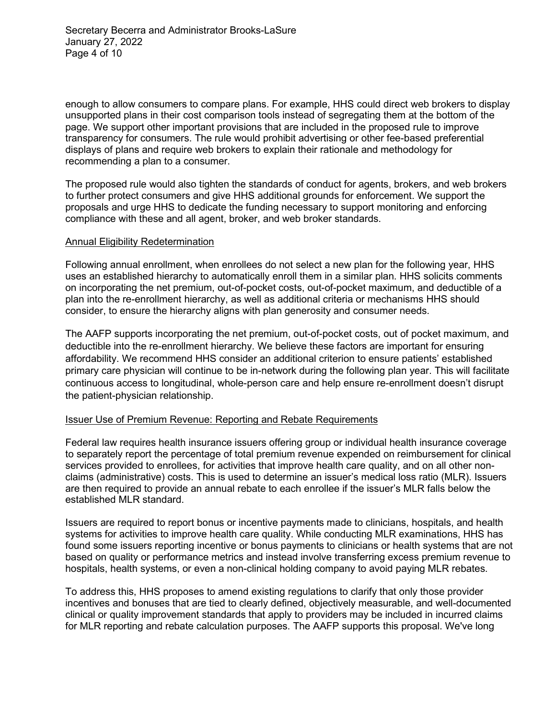enough to allow consumers to compare plans. For example, HHS could direct web brokers to display unsupported plans in their cost comparison tools instead of segregating them at the bottom of the page. We support other important provisions that are included in the proposed rule to improve transparency for consumers. The rule would prohibit advertising or other fee-based preferential displays of plans and require web brokers to explain their rationale and methodology for recommending a plan to a consumer.

The proposed rule would also tighten the standards of conduct for agents, brokers, and web brokers to further protect consumers and give HHS additional grounds for enforcement. We support the proposals and urge HHS to dedicate the funding necessary to support monitoring and enforcing compliance with these and all agent, broker, and web broker standards.

#### Annual Eligibility Redetermination

Following annual enrollment, when enrollees do not select a new plan for the following year, HHS uses an established hierarchy to automatically enroll them in a similar plan. HHS solicits comments on incorporating the net premium, out-of-pocket costs, out-of-pocket maximum, and deductible of a plan into the re-enrollment hierarchy, as well as additional criteria or mechanisms HHS should consider, to ensure the hierarchy aligns with plan generosity and consumer needs.

The AAFP supports incorporating the net premium, out-of-pocket costs, out of pocket maximum, and deductible into the re-enrollment hierarchy. We believe these factors are important for ensuring affordability. We recommend HHS consider an additional criterion to ensure patients' established primary care physician will continue to be in-network during the following plan year. This will facilitate continuous access to longitudinal, whole-person care and help ensure re-enrollment doesn't disrupt the patient-physician relationship.

# Issuer Use of Premium Revenue: Reporting and Rebate Requirements

Federal law requires health insurance issuers offering group or individual health insurance coverage to separately report the percentage of total premium revenue expended on reimbursement for clinical services provided to enrollees, for activities that improve health care quality, and on all other nonclaims (administrative) costs. This is used to determine an issuer's medical loss ratio (MLR). Issuers are then required to provide an annual rebate to each enrollee if the issuer's MLR falls below the established MLR standard.

Issuers are required to report bonus or incentive payments made to clinicians, hospitals, and health systems for activities to improve health care quality. While conducting MLR examinations, HHS has found some issuers reporting incentive or bonus payments to clinicians or health systems that are not based on quality or performance metrics and instead involve transferring excess premium revenue to hospitals, health systems, or even a non-clinical holding company to avoid paying MLR rebates.

To address this, HHS proposes to amend existing regulations to clarify that only those provider incentives and bonuses that are tied to clearly defined, objectively measurable, and well-documented clinical or quality improvement standards that apply to providers may be included in incurred claims for MLR reporting and rebate calculation purposes. The AAFP supports this proposal. We've long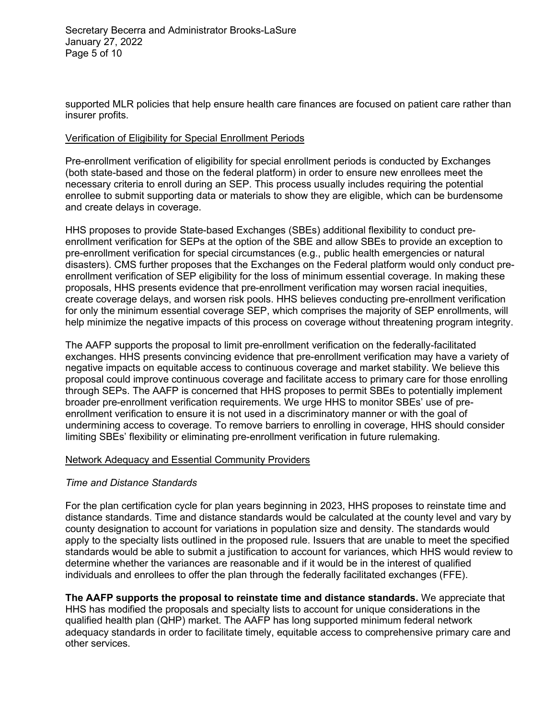supported MLR policies that help ensure health care finances are focused on patient care rather than insurer profits.

# Verification of Eligibility for Special Enrollment Periods

Pre-enrollment verification of eligibility for special enrollment periods is conducted by Exchanges (both state-based and those on the federal platform) in order to ensure new enrollees meet the necessary criteria to enroll during an SEP. This process usually includes requiring the potential enrollee to submit supporting data or materials to show they are eligible, which can be burdensome and create delays in coverage.

HHS proposes to provide State-based Exchanges (SBEs) additional flexibility to conduct preenrollment verification for SEPs at the option of the SBE and allow SBEs to provide an exception to pre-enrollment verification for special circumstances (e.g., public health emergencies or natural disasters). CMS further proposes that the Exchanges on the Federal platform would only conduct preenrollment verification of SEP eligibility for the loss of minimum essential coverage. In making these proposals, HHS presents evidence that pre-enrollment verification may worsen racial inequities, create coverage delays, and worsen risk pools. HHS believes conducting pre-enrollment verification for only the minimum essential coverage SEP, which comprises the majority of SEP enrollments, will help minimize the negative impacts of this process on coverage without threatening program integrity.

The AAFP supports the proposal to limit pre-enrollment verification on the federally-facilitated exchanges. HHS presents convincing evidence that pre-enrollment verification may have a variety of negative impacts on equitable access to continuous coverage and market stability. We believe this proposal could improve continuous coverage and facilitate access to primary care for those enrolling through SEPs. The AAFP is concerned that HHS proposes to permit SBEs to potentially implement broader pre-enrollment verification requirements. We urge HHS to monitor SBEs' use of preenrollment verification to ensure it is not used in a discriminatory manner or with the goal of undermining access to coverage. To remove barriers to enrolling in coverage, HHS should consider limiting SBEs' flexibility or eliminating pre-enrollment verification in future rulemaking.

# Network Adequacy and Essential Community Providers

# *Time and Distance Standards*

For the plan certification cycle for plan years beginning in 2023, HHS proposes to reinstate time and distance standards. Time and distance standards would be calculated at the county level and vary by county designation to account for variations in population size and density. The standards would apply to the specialty lists outlined in the proposed rule. Issuers that are unable to meet the specified standards would be able to submit a justification to account for variances, which HHS would review to determine whether the variances are reasonable and if it would be in the interest of qualified individuals and enrollees to offer the plan through the federally facilitated exchanges (FFE).

**The AAFP supports the proposal to reinstate time and distance standards.** We appreciate that HHS has modified the proposals and specialty lists to account for unique considerations in the qualified health plan (QHP) market. The AAFP has long supported minimum federal network adequacy standards in order to facilitate timely, equitable access to comprehensive primary care and other services.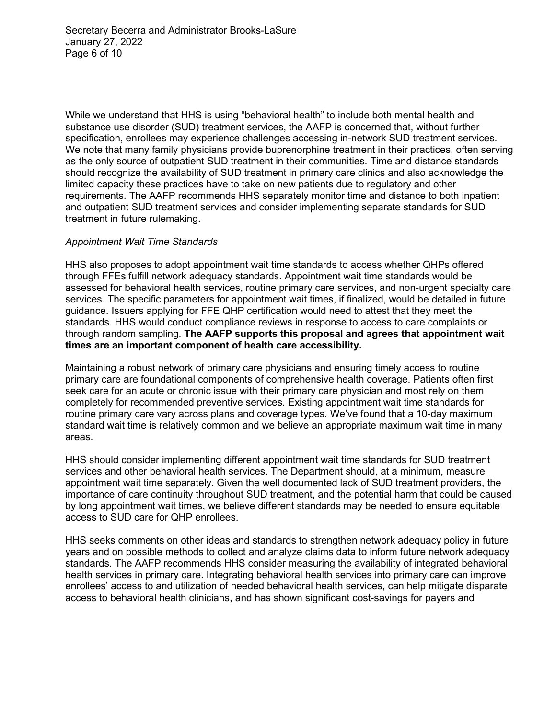Secretary Becerra and Administrator Brooks-LaSure January 27, 2022 Page 6 of 10

While we understand that HHS is using "behavioral health" to include both mental health and substance use disorder (SUD) treatment services, the AAFP is concerned that, without further specification, enrollees may experience challenges accessing in-network SUD treatment services. We note that many family physicians provide buprenorphine treatment in their practices, often serving as the only source of outpatient SUD treatment in their communities. Time and distance standards should recognize the availability of SUD treatment in primary care clinics and also acknowledge the limited capacity these practices have to take on new patients due to regulatory and other requirements. The AAFP recommends HHS separately monitor time and distance to both inpatient and outpatient SUD treatment services and consider implementing separate standards for SUD treatment in future rulemaking.

#### *Appointment Wait Time Standards*

HHS also proposes to adopt appointment wait time standards to access whether QHPs offered through FFEs fulfill network adequacy standards. Appointment wait time standards would be assessed for behavioral health services, routine primary care services, and non-urgent specialty care services. The specific parameters for appointment wait times, if finalized, would be detailed in future guidance. Issuers applying for FFE QHP certification would need to attest that they meet the standards. HHS would conduct compliance reviews in response to access to care complaints or through random sampling. **The AAFP supports this proposal and agrees that appointment wait times are an important component of health care accessibility.** 

Maintaining a robust network of primary care physicians and ensuring timely access to routine primary care are foundational components of comprehensive health coverage. Patients often first seek care for an acute or chronic issue with their primary care physician and most rely on them completely for recommended preventive services. Existing appointment wait time standards for routine primary care vary across plans and coverage types. We've found that a 10-day maximum standard wait time is relatively common and we believe an appropriate maximum wait time in many areas.

HHS should consider implementing different appointment wait time standards for SUD treatment services and other behavioral health services. The Department should, at a minimum, measure appointment wait time separately. Given the well documented lack of SUD treatment providers, the importance of care continuity throughout SUD treatment, and the potential harm that could be caused by long appointment wait times, we believe different standards may be needed to ensure equitable access to SUD care for QHP enrollees.

HHS seeks comments on other ideas and standards to strengthen network adequacy policy in future years and on possible methods to collect and analyze claims data to inform future network adequacy standards. The AAFP recommends HHS consider measuring the availability of integrated behavioral health services in primary care. Integrating behavioral health services into primary care can improve enrollees' access to and utilization of needed behavioral health services, can help mitigate disparate access to behavioral health clinicians, and has shown significant cost-savings for payers and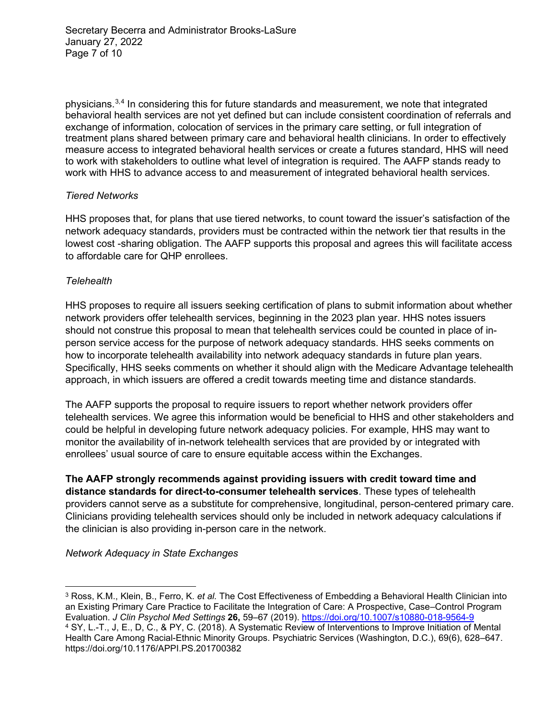Secretary Becerra and Administrator Brooks-LaSure January 27, 2022 Page 7 of 10

physicians.<sup>[3,](#page-6-0)[4](#page-6-1)</sup> In considering this for future standards and measurement, we note that integrated behavioral health services are not yet defined but can include consistent coordination of referrals and exchange of information, colocation of services in the primary care setting, or full integration of treatment plans shared between primary care and behavioral health clinicians. In order to effectively measure access to integrated behavioral health services or create a futures standard, HHS will need to work with stakeholders to outline what level of integration is required. The AAFP stands ready to work with HHS to advance access to and measurement of integrated behavioral health services.

# *Tiered Networks*

HHS proposes that, for plans that use tiered networks, to count toward the issuer's satisfaction of the network adequacy standards, providers must be contracted within the network tier that results in the lowest cost -sharing obligation. The AAFP supports this proposal and agrees this will facilitate access to affordable care for QHP enrollees.

#### *Telehealth*

HHS proposes to require all issuers seeking certification of plans to submit information about whether network providers offer telehealth services, beginning in the 2023 plan year. HHS notes issuers should not construe this proposal to mean that telehealth services could be counted in place of inperson service access for the purpose of network adequacy standards. HHS seeks comments on how to incorporate telehealth availability into network adequacy standards in future plan years. Specifically, HHS seeks comments on whether it should align with the Medicare Advantage telehealth approach, in which issuers are offered a credit towards meeting time and distance standards.

The AAFP supports the proposal to require issuers to report whether network providers offer telehealth services. We agree this information would be beneficial to HHS and other stakeholders and could be helpful in developing future network adequacy policies. For example, HHS may want to monitor the availability of in-network telehealth services that are provided by or integrated with enrollees' usual source of care to ensure equitable access within the Exchanges.

**The AAFP strongly recommends against providing issuers with credit toward time and distance standards for direct-to-consumer telehealth services**. These types of telehealth providers cannot serve as a substitute for comprehensive, longitudinal, person-centered primary care. Clinicians providing telehealth services should only be included in network adequacy calculations if the clinician is also providing in-person care in the network.

*Network Adequacy in State Exchanges*

<span id="page-6-1"></span><span id="page-6-0"></span><sup>3</sup> Ross, K.M., Klein, B., Ferro, K. *et al.* The Cost Effectiveness of Embedding a Behavioral Health Clinician into an Existing Primary Care Practice to Facilitate the Integration of Care: A Prospective, Case–Control Program Evaluation. *J Clin Psychol Med Settings* **26,** 59–67 (2019).<https://doi.org/10.1007/s10880-018-9564-9> <sup>4</sup> SY, L.-T., J, E., D, C., & PY, C. (2018). A Systematic Review of Interventions to Improve Initiation of Mental Health Care Among Racial-Ethnic Minority Groups. Psychiatric Services (Washington, D.C.), 69(6), 628–647. https://doi.org/10.1176/APPI.PS.201700382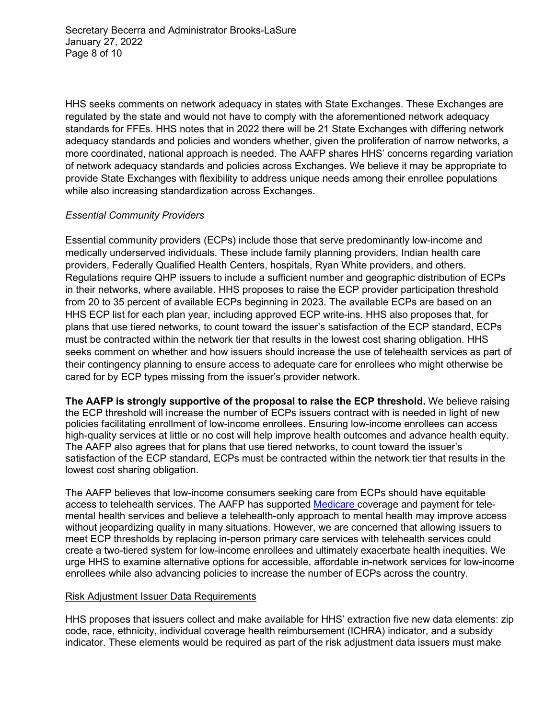Secretary Becerra and Administrator Brooks-LaSure January 27, 2022 Page 8 of 10

HHS seeks comments on network adequacy in states with State Exchanges. These Exchanges are regulated by the state and would not have to comply with the aforementioned network adequacy standards for FFEs. HHS notes that in 2022 there will be 21 State Exchanges with differing network adequacy standards and policies and wonders whether, given the proliferation of narrow networks, a more coordinated, national approach is needed. The AAFP shares HHS' concerns regarding variation of network adequacy standards and policies across Exchanges. We believe it may be appropriate to provide State Exchanges with flexibility to address unique needs among their enrollee populations while also increasing standardization across Exchanges.

# *Essential Community Providers*

Essential community providers (ECPs) include those that serve predominantly low-income and medically underserved individuals. These include family planning providers, Indian health care providers, Federally Qualified Health Centers, hospitals, Ryan White providers, and others. Regulations require QHP issuers to include a sufficient number and geographic distribution of ECPs in their networks, where available. HHS proposes to raise the ECP provider participation threshold from 20 to 35 percent of available ECPs beginning in 2023. The available ECPs are based on an HHS ECP list for each plan year, including approved ECP write-ins. HHS also proposes that, for plans that use tiered networks, to count toward the issuer's satisfaction of the ECP standard, ECPs must be contracted within the network tier that results in the lowest cost sharing obligation. HHS seeks comment on whether and how issuers should increase the use of telehealth services as part of their contingency planning to ensure access to adequate care for enrollees who might otherwise be cared for by ECP types missing from the issuer's provider network.

**The AAFP is strongly supportive of the proposal to raise the ECP threshold.** We believe raising the ECP threshold will increase the number of ECPs issuers contract with is needed in light of new policies facilitating enrollment of low-income enrollees. Ensuring low-income enrollees can access high-quality services at little or no cost will help improve health outcomes and advance health equity. The AAFP also agrees that for plans that use tiered networks, to count toward the issuer's satisfaction of the ECP standard, ECPs must be contracted within the network tier that results in the lowest cost sharing obligation.

The AAFP believes that low-income consumers seeking care from ECPs should have equitable access to telehealth services. The AAFP has supported [Medicare c](https://www.aafp.org/dam/AAFP/documents/advocacy/payment/medicare/feesched/LT-CMS-MedicarePhysicianFeeScheduleProposedRule-091021.pdf)overage and payment for telemental health services and believe a telehealth-only approach to mental health may improve access without jeopardizing quality in many situations. However, we are concerned that allowing issuers to meet ECP thresholds by replacing in-person primary care services with telehealth services could create a two-tiered system for low-income enrollees and ultimately exacerbate health inequities. We urge HHS to examine alternative options for accessible, affordable in-network services for low-income enrollees while also advancing policies to increase the number of ECPs across the country.

# Risk Adjustment Issuer Data Requirements

HHS proposes that issuers collect and make available for HHS' extraction five new data elements: zip code, race, ethnicity, individual coverage health reimbursement (ICHRA) indicator, and a subsidy indicator. These elements would be required as part of the risk adjustment data issuers must make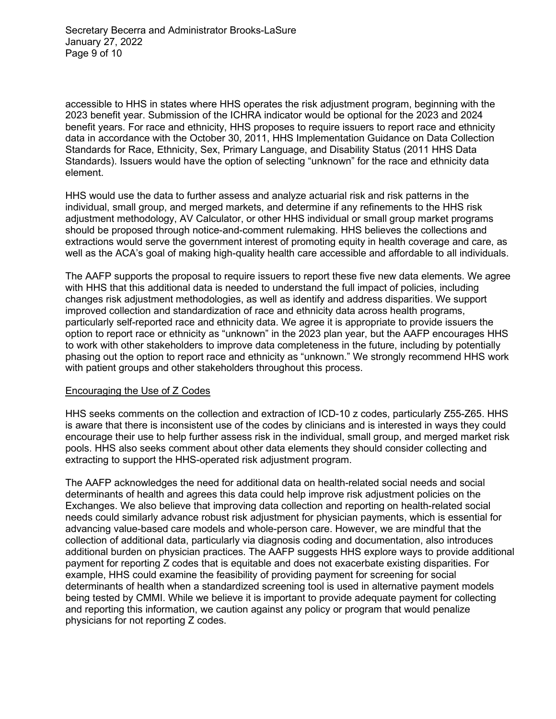accessible to HHS in states where HHS operates the risk adjustment program, beginning with the 2023 benefit year. Submission of the ICHRA indicator would be optional for the 2023 and 2024 benefit years. For race and ethnicity, HHS proposes to require issuers to report race and ethnicity data in accordance with the October 30, 2011, HHS Implementation Guidance on Data Collection Standards for Race, Ethnicity, Sex, Primary Language, and Disability Status (2011 HHS Data Standards). Issuers would have the option of selecting "unknown" for the race and ethnicity data element.

HHS would use the data to further assess and analyze actuarial risk and risk patterns in the individual, small group, and merged markets, and determine if any refinements to the HHS risk adjustment methodology, AV Calculator, or other HHS individual or small group market programs should be proposed through notice-and-comment rulemaking. HHS believes the collections and extractions would serve the government interest of promoting equity in health coverage and care, as well as the ACA's goal of making high-quality health care accessible and affordable to all individuals.

The AAFP supports the proposal to require issuers to report these five new data elements. We agree with HHS that this additional data is needed to understand the full impact of policies, including changes risk adjustment methodologies, as well as identify and address disparities. We support improved collection and standardization of race and ethnicity data across health programs, particularly self-reported race and ethnicity data. We agree it is appropriate to provide issuers the option to report race or ethnicity as "unknown" in the 2023 plan year, but the AAFP encourages HHS to work with other stakeholders to improve data completeness in the future, including by potentially phasing out the option to report race and ethnicity as "unknown." We strongly recommend HHS work with patient groups and other stakeholders throughout this process.

# Encouraging the Use of Z Codes

HHS seeks comments on the collection and extraction of ICD-10 z codes, particularly Z55-Z65. HHS is aware that there is inconsistent use of the codes by clinicians and is interested in ways they could encourage their use to help further assess risk in the individual, small group, and merged market risk pools. HHS also seeks comment about other data elements they should consider collecting and extracting to support the HHS-operated risk adjustment program.

The AAFP acknowledges the need for additional data on health-related social needs and social determinants of health and agrees this data could help improve risk adjustment policies on the Exchanges. We also believe that improving data collection and reporting on health-related social needs could similarly advance robust risk adjustment for physician payments, which is essential for advancing value-based care models and whole-person care. However, we are mindful that the collection of additional data, particularly via diagnosis coding and documentation, also introduces additional burden on physician practices. The AAFP suggests HHS explore ways to provide additional payment for reporting Z codes that is equitable and does not exacerbate existing disparities. For example, HHS could examine the feasibility of providing payment for screening for social determinants of health when a standardized screening tool is used in alternative payment models being tested by CMMI. While we believe it is important to provide adequate payment for collecting and reporting this information, we caution against any policy or program that would penalize physicians for not reporting Z codes.